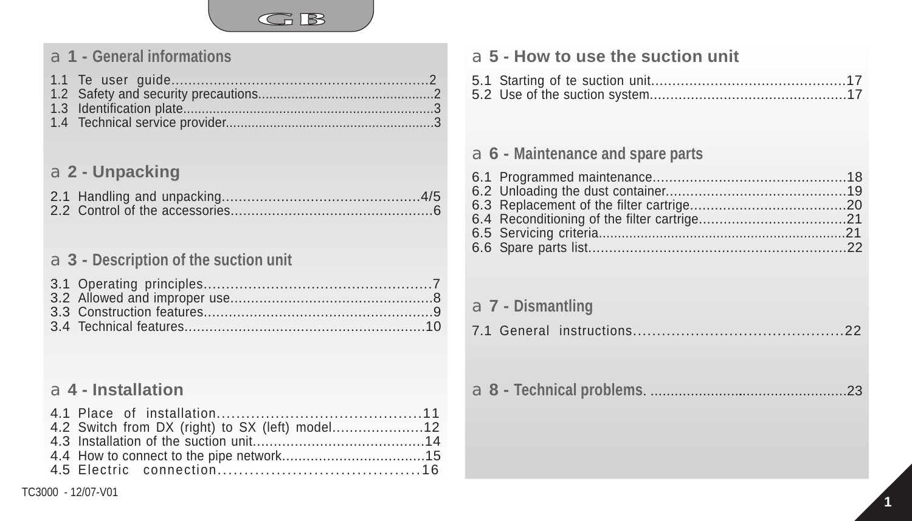

# a**1 - General informations**

## a**2 - Unpacking**

### a**3 - Description of the suction unit**

## a**4 - Installation**

| a 5 - How to use the suction unit   |
|-------------------------------------|
|                                     |
|                                     |
| $a$ 6 - Maintenance and spare parts |
|                                     |
| $a$ 7 - Dismantling                 |
|                                     |
|                                     |
|                                     |
|                                     |
|                                     |
|                                     |

a<sup>7</sup>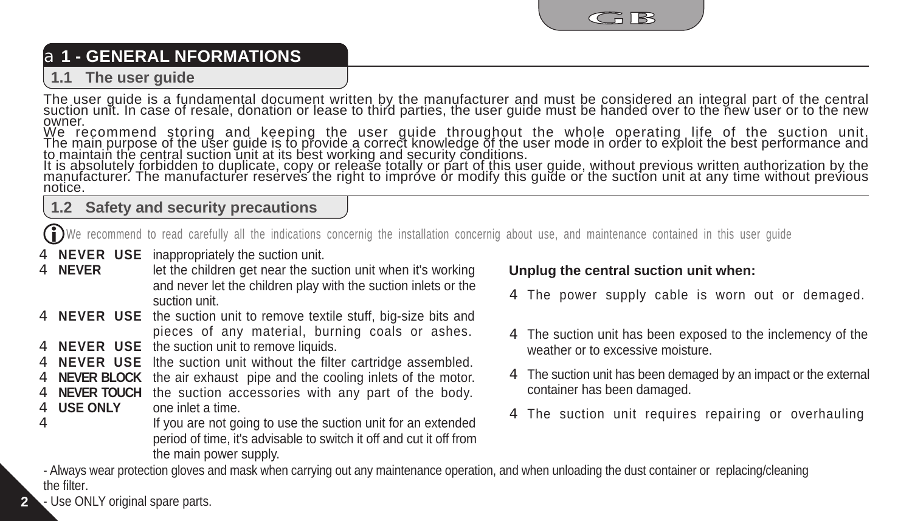

# a**1 - GENERAL NFORMATIONS**

#### **1.1 The user guide**

The user guide is a fundamental document written by the manufacturer and must be considered an integral part of the central<br>suction unit. In case of resale, donation or lease to third parties, the user guide must be handed owner.

We recommend storing and keeping the user guide throughout the whole operating life of the suction unit.<br>The main purpose of the user guide is to provide a correct knowledge of the user mode in order to exploit the best pe

notice.

#### **1.2 Safety and security precautions**

We recommend to read carefully all the indications concernig the installation concernig about use, and maintenance contained in this user guide

- 4 **NEVER USE** inappropriately the suction unit.
- let the children get near the suction unit when it's working and never let the children play with the suction inlets or the suction unit. 4 **NEVER**
- 4 **NEVER USE** the suction unit to remove textile stuff, big-size bits and pieces of any material, burning coals or ashes.
- 4 **NEVER USE** the suction unit to remove liquids.
- 4 **NEVER USE** Ithe suction unit without the filter cartridge assembled.
- 4 **NEVER BLOCK** the air exhaust pipe and the cooling inlets of the motor.
- 4 **NEVER TOUCH** the suction accessories with any part of the body. one inlet a time. 4 **USE ONLY**
- If you are not going to use the suction unit for an extended period of time, it's advisable to switch it off and cut it off from the main power supply. 4

#### **Unplug the central suction unit when:**

- The power supply cable is worn out or demaged. 4
- The suction unit has been exposed to the inclemency of the 4 weather or to excessive moisture.
- The suction unit has been demaged by an impact or the external 4 container has been damaged.
- The suction unit requires repairing or overhauling 4

- Always wear protection gloves and mask when carrying out any maintenance operation, and when unloading the dust container or replacing/cleaning the filter.

- Use ONLY original spare parts.

**2**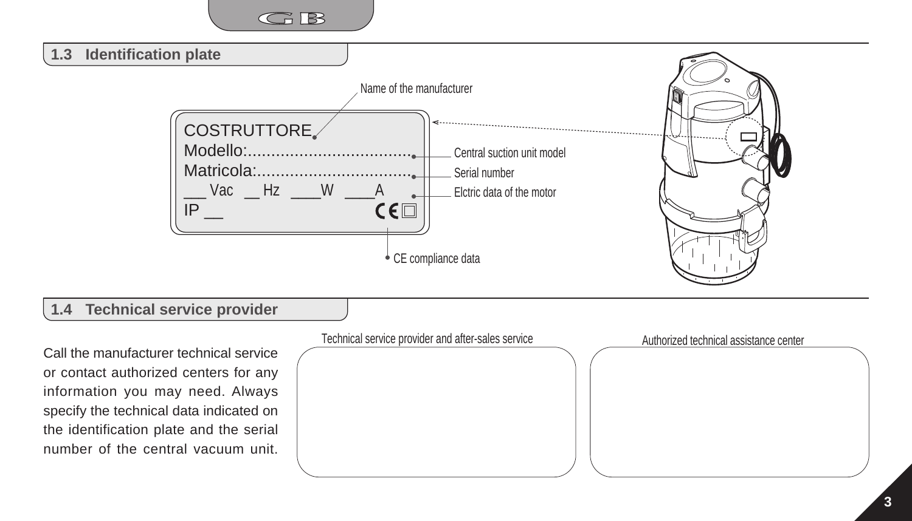

Call the manufacturer technical service or contact authorized centers for any information you may need. Always specify the technical data indicated on the identification plate and the serial number of the central vacuum unit.

Technical service provider and after-sales service Authorized technical assistance center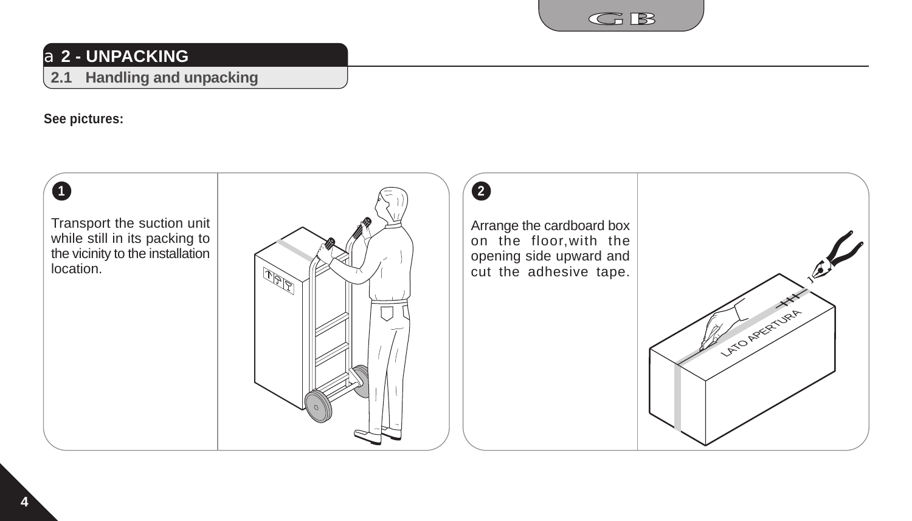

# a**2 - UNPACKING**

### **2.1 Handling and unpacking**

#### **See pictures:**

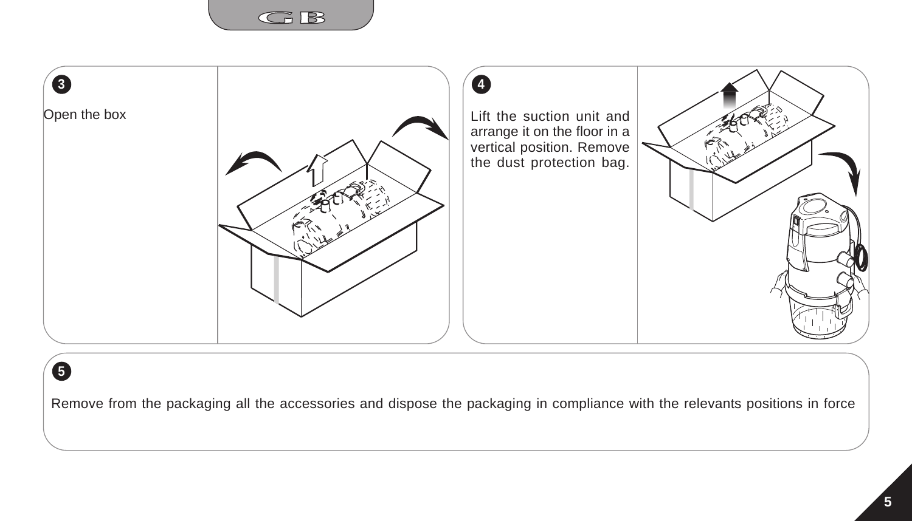



# **5**

Remove from the packaging all the accessories and dispose the packaging in compliance with the relevants positions in force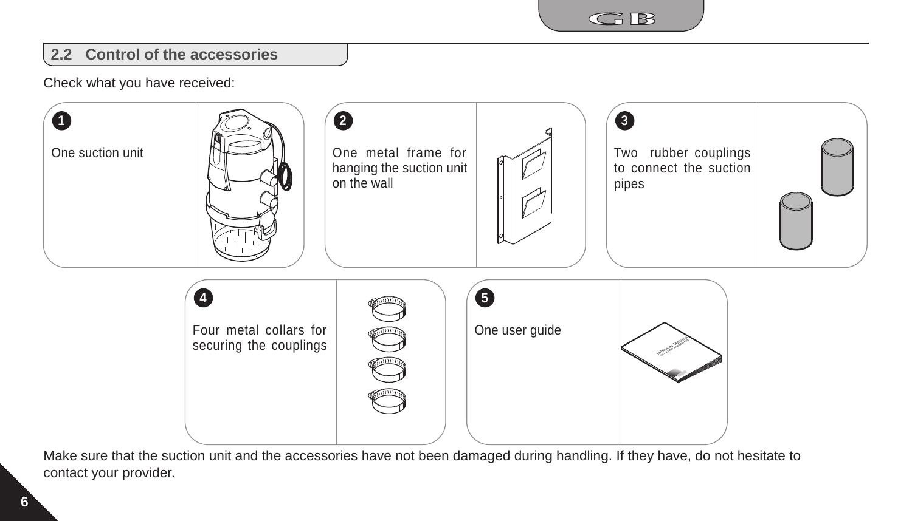

### **2.2 Control of the accessories**

Check what you have received:



Make sure that the suction unit and the accessories have not been damaged during handling. If they have, do not hesitate to contact your provider.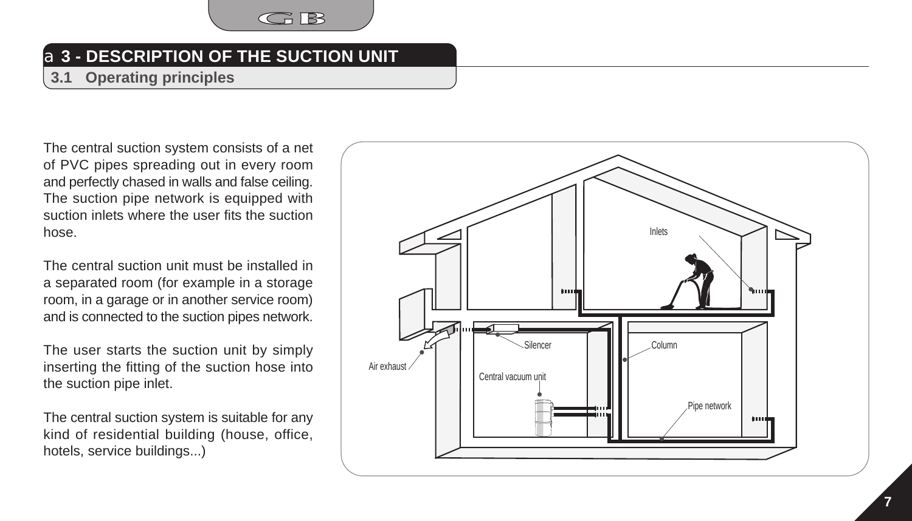

# a**3 - DESCRIPTION OF THE SUCTION UNIT**

**3.1 Operating principles**

The central suction system consists of a net of PVC pipes spreading out in every room and perfectly chased in walls and false ceiling. The suction pipe network is equipped with suction inlets where the user fits the suction hose.

The central suction unit must be installed in a separated room (for example in a storage room, in a garage or in another service room) and is connected to the suction pipes network.

The user starts the suction unit by simply inserting the fitting of the suction hose into the suction pipe inlet.

The central suction system is suitable for any kind of residential building (house, office, hotels, service buildings...)

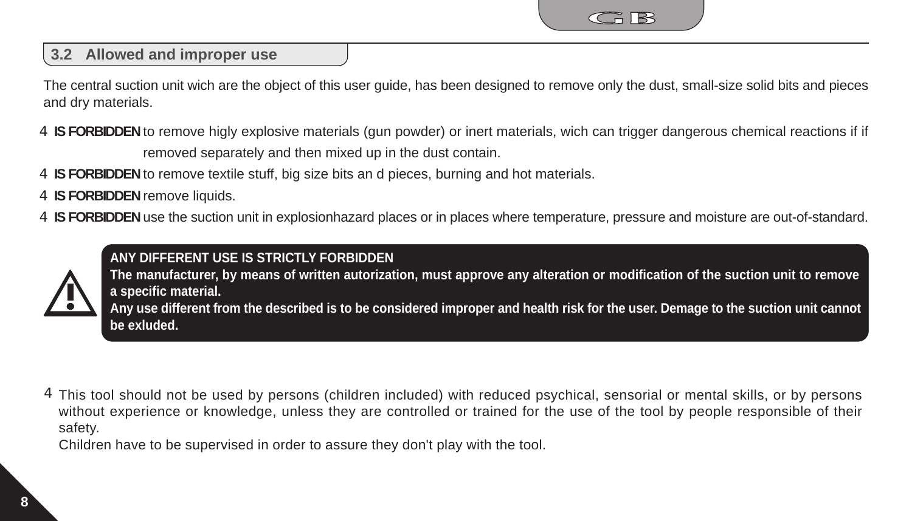

### **3.2 Allowed and improper use**

The central suction unit wich are the object of this user guide, has been designed to remove only the dust, small-size solid bits and pieces and dry materials.

4 **IS FORBIDDEN** to remove higly explosive materials (gun powder) or inert materials, wich can trigger dangerous chemical reactions if if removed separately and then mixed up in the dust contain.

4 **IS FORBIDDEN** to remove textile stuff, big size bits an d pieces, burning and hot materials.

4 **IS FORBIDDEN** remove liquids.

4 IS FORBIDDEN use the suction unit in explosionhazard places or in places where temperature, pressure and moisture are out-of-standard.



**ANY DIFFERENT USE IS STRICTLY FORBIDDEN** 

**The manufacturer, by means of written autorization, must approve any alteration or modification of the suction unit to remove a specific material.**

**Any use different from the described is to be considered improper and health risk for the user. Demage to the suction unit cannot be exluded.**

4 This tool should not be used by persons (children included) with reduced psychical, sensorial or mental skills, or by persons without experience or knowledge, unless they are controlled or trained for the use of the tool by people responsible of their safety.

Children have to be supervised in order to assure they don't play with the tool.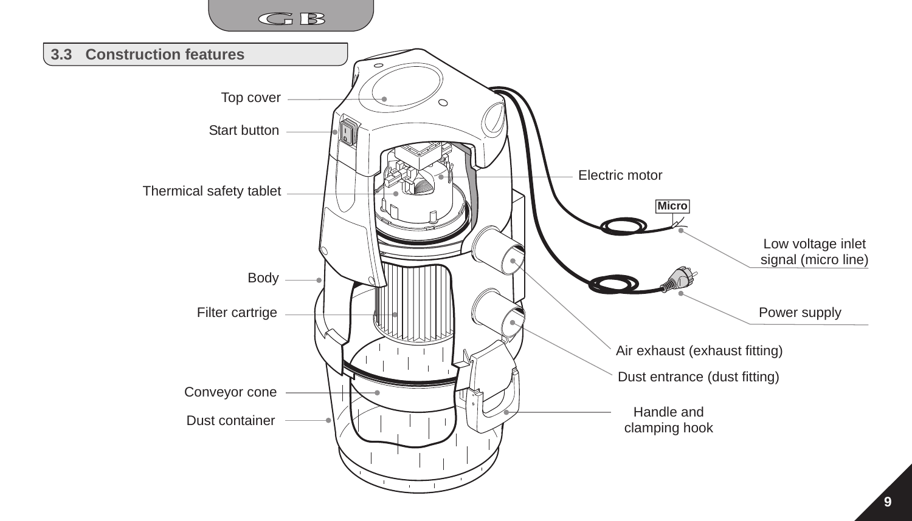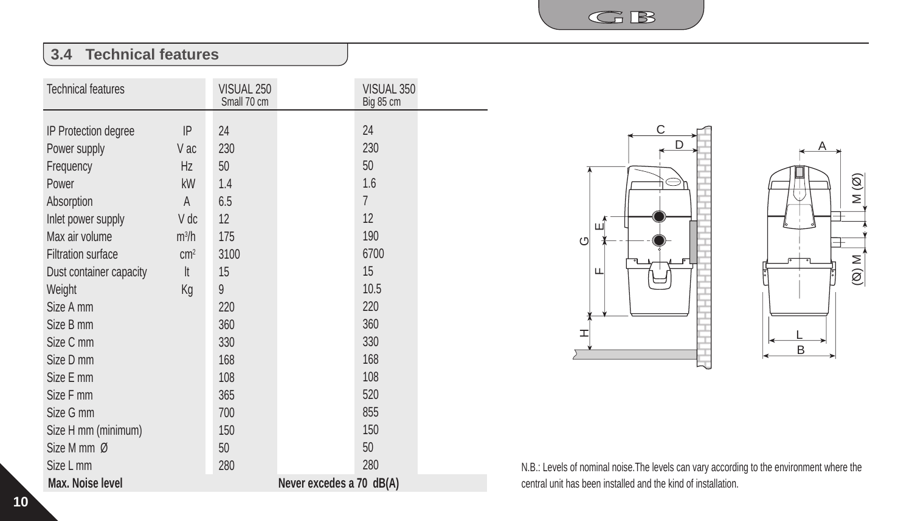$G$  $B$ 

## **3.4 Technical features**

| <b>Technical features</b> |            | VISUAL 250<br>Small 70 cm | VISUAL 350<br>Big 85 cm  |  |
|---------------------------|------------|---------------------------|--------------------------|--|
|                           | IP         | 24                        | 24                       |  |
| IP Protection degree      |            |                           |                          |  |
| Power supply              | V ac       | 230                       | 230                      |  |
| Frequency                 | Hz         | 50                        | 50                       |  |
| Power                     | kW         | 1.4                       | 1.6                      |  |
| Absorption                | A          | 6.5                       | $\overline{7}$           |  |
| Inlet power supply        | V dc       | 12                        | 12                       |  |
| Max air volume            | $m^3/h$    | 175                       | 190                      |  |
| <b>Filtration surface</b> | $\rm cm^2$ | 3100                      | 6700                     |  |
| Dust container capacity   | It         | 15                        | 15                       |  |
| Weight                    | Kg         | 9                         | 10.5                     |  |
| Size A mm                 |            | 220                       | 220                      |  |
| Size B mm                 |            | 360                       | 360                      |  |
| Size C mm                 |            | 330                       | 330                      |  |
| Size D mm                 |            | 168                       | 168                      |  |
| Size E mm                 |            | 108                       | 108                      |  |
| Size F mm                 |            | 365                       | 520                      |  |
| Size G mm                 |            | 700                       | 855                      |  |
| Size H mm (minimum)       |            | 150                       | 150                      |  |
| Size M mm Ø               |            | 50                        | 50                       |  |
| Size L mm                 |            | 280                       | 280                      |  |
| Max. Noise level          |            |                           | Never excedes a 70 dB(A) |  |





N.B.: Levels of nominal noise.The levels can vary according to the environment where the central unit has been installed and the kind of installation.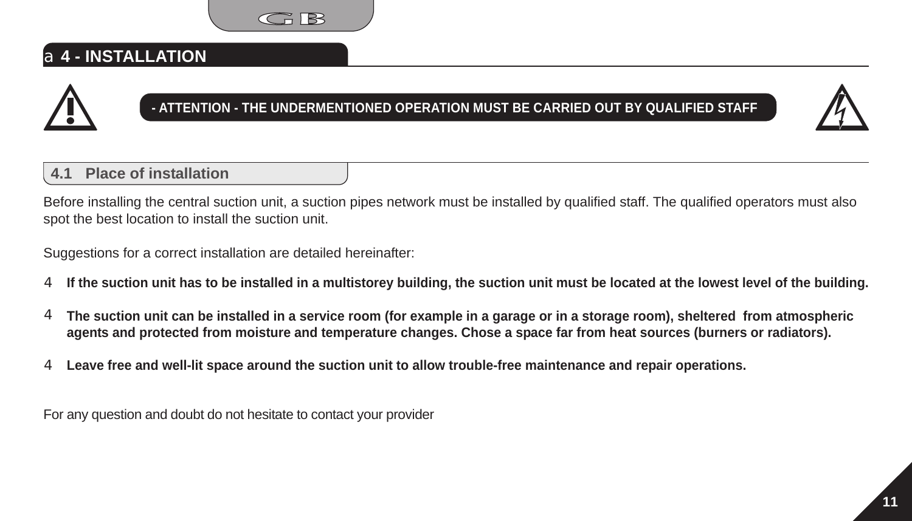

## a**4 - INSTALLATION**



## **- ATTENTION - THE UNDERMENTIONED OPERATION MUST BE CARRIED OUT BY QUALIFIED STAFF**



### **4.1 Place of installation**

Before installing the central suction unit, a suction pipes network must be installed by qualified staff. The qualified operators must also spot the best location to install the suction unit.

Suggestions for a correct installation are detailed hereinafter:

- **If the suction unit has to be installed in a multistorey building, the suction unit must be located at the lowest level of the building.** 4
- **The suction unit can be installed in a service room (for example in a garage or in a storage room), sheltered from atmospheric agents and protected from moisture and temperature changes. Chose a space far from heat sources (burners or radiators).** 4
- **Leave free and well-lit space around the suction unit to allow trouble-free maintenance and repair operations.** 4

For any question and doubt do not hesitate to contact your provider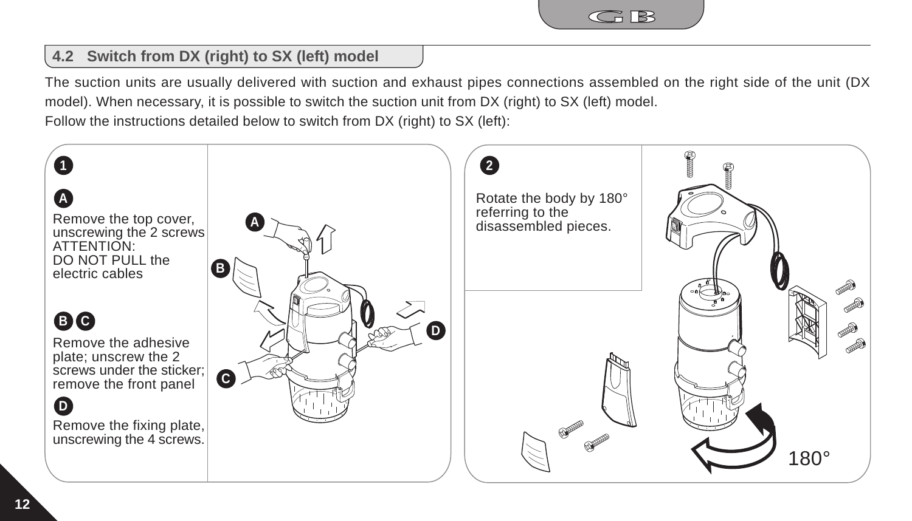

## **4.2 Switch from DX (right) to SX (left) model**

The suction units are usually delivered with suction and exhaust pipes connections assembled on the right side of the unit (DX model). When necessary, it is possible to switch the suction unit from DX (right) to SX (left) model. Follow the instructions detailed below to switch from DX (right) to SX (left):

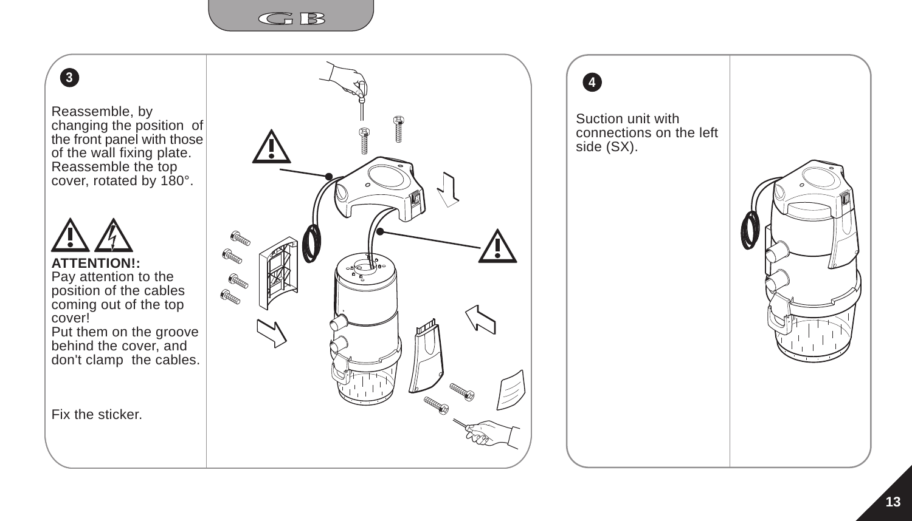

# **3**

Reassemble, by changing the position of the front panel with those of the wall fixing plate. Reassemble the top cover, rotated by 180°.



**ATTENTION!:** Pay attention to the position of the cables coming out of the top cover!

Put them on the groove behind the cover, and don't clamp the cables.

Fix the sticker.





Suction unit with connections on the left side (SX).

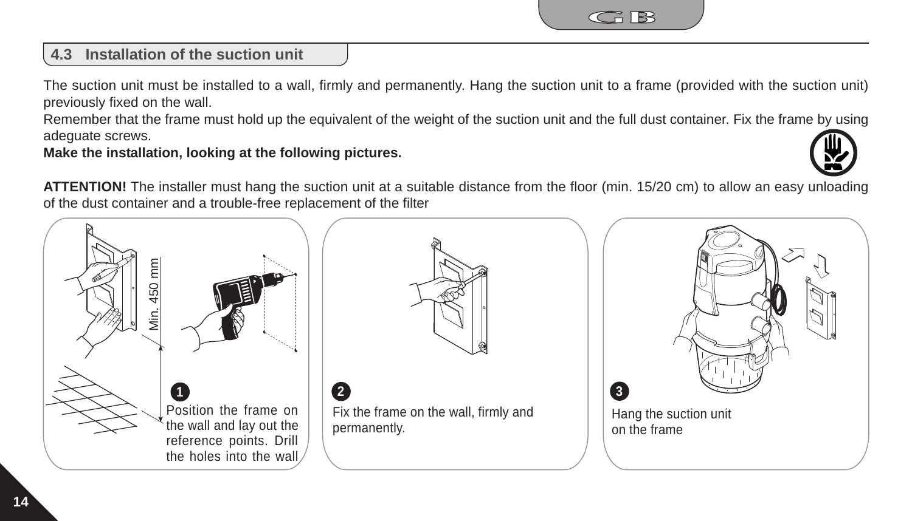

## **4.3 Installation of the suction unit**

The suction unit must be installed to a wall, firmly and permanently. Hang the suction unit to a frame (provided with the suction unit) previously fixed on the wall.

Remember that the frame must hold up the equivalent of the weight of the suction unit and the full dust container. Fix the frame by using adeguate screws.

**Make the installation, looking at the following pictures.**



**ATTENTION!** The installer must hang the suction unit at a suitable distance from the floor (min. 15/20 cm) to allow an easy unloading of the dust container and a trouble-free replacement of the filter

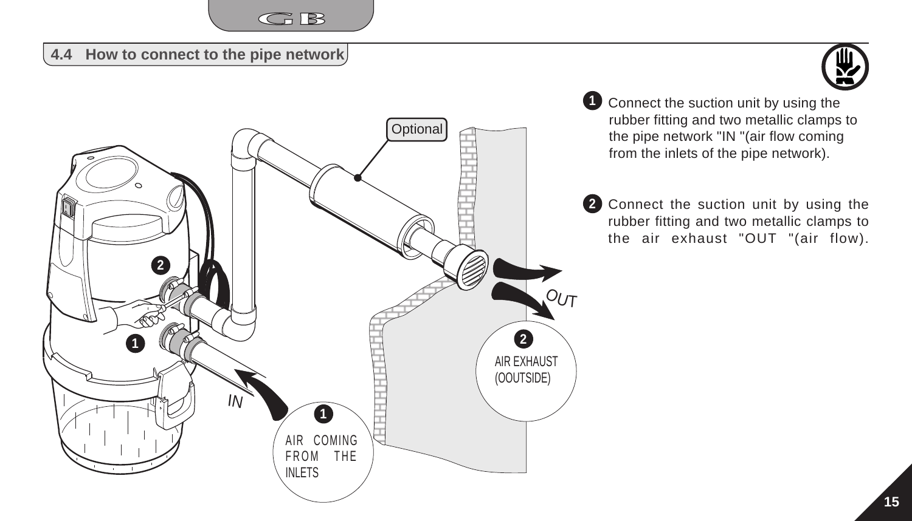

#### **4.4 How to connect to the pipe network**





**1** Connect the suction unit by using the rubber fitting and two metallic clamps to the pipe network "IN "(air flow coming from the inlets of the pipe network).

**2** Connect the suction unit by using the rubber fitting and two metallic clamps to the air exhaust "OUT "(air flow).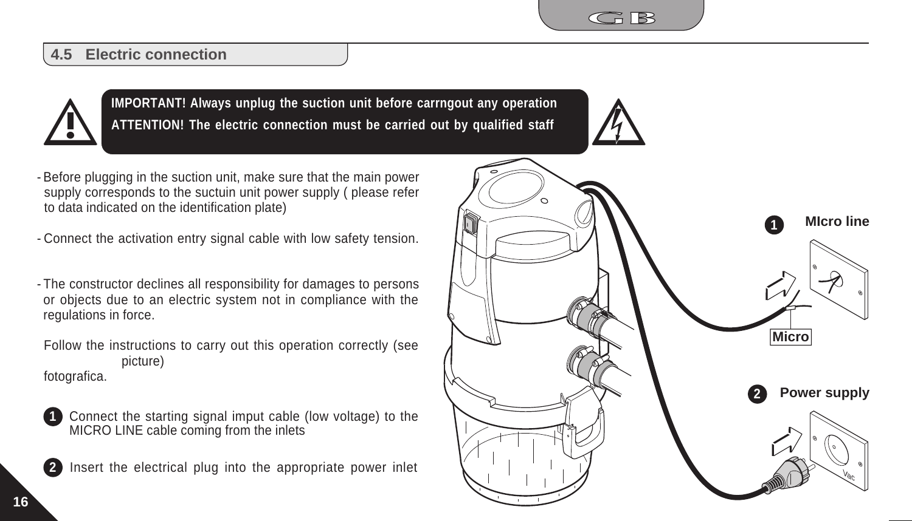

#### **4.5 Electric connection**



**IMPORTANT! Always unplug the suction unit before carrngout any operation ATTENTION! The electric connection must be carried out by qualified staff**

- Before plugging in the suction unit, make sure that the main power supply corresponds to the suctuin unit power supply ( please refer to data indicated on the identification plate)
- Connect the activation entry signal cable with low safety tension. -
- The constructor declines all responsibility for damages to persons or objects due to an electric system not in compliance with the regulations in force.
- Follow the instructions to carry out this operation correctly (see picture) fotografica.



**2**

Connect the starting signal imput cable (low voltage) to the MICRO LINE cable coming from the inlets

Insert the electrical plug into the appropriate power inlet

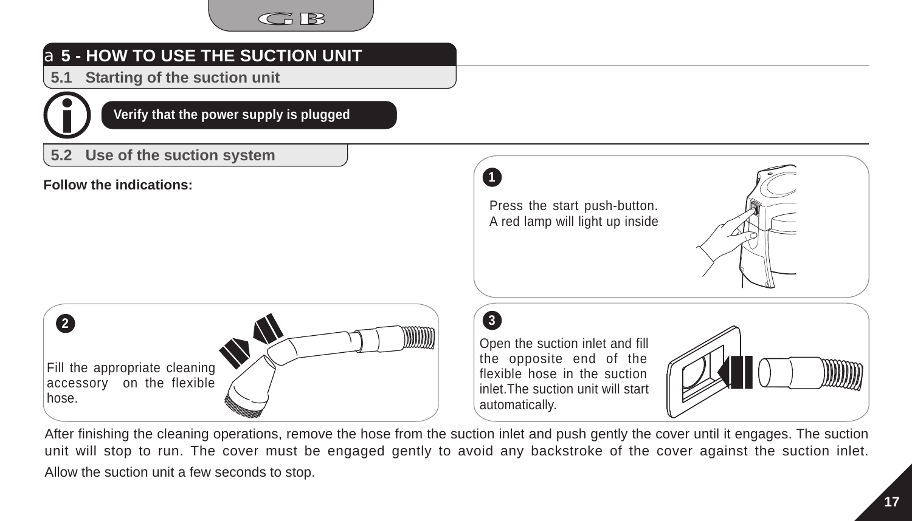

# a**5 - HOW TO USE THE SUCTION UNIT**

**5.1 Starting of the suction unit**



**Verify that the power supply is plugged**

### **5.2 Use of the suction system**

**Follow the indications:**

Press the start push-button. A red lamp will light up inside



**3** Open the suction inlet and fill the opposite end of the flexible hose in the suction inlet.The suction unit will start automatically.



**l0**

After finishing the cleaning operations, remove the hose from the suction inlet and push gently the cover until it engages. The suction unit will stop to run. The cover must be engaged gently to avoid any backstroke of the cover against the suction inlet. Allow the suction unit a few seconds to stop.

**1**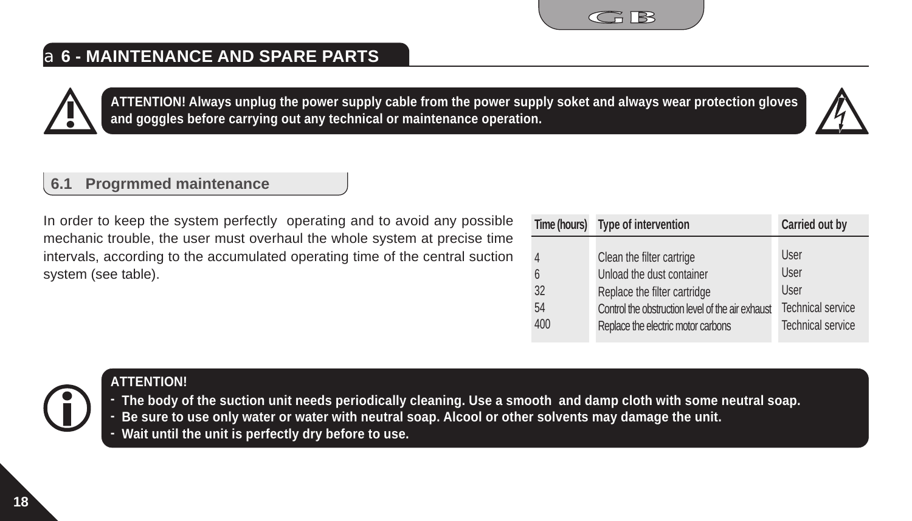# a**6 - MAINTENANCE AND SPARE PARTS**

**6.1 Progrmmed maintenance**

In order to keep the system perfectly operating and to avoid any possible mechanic trouble, the user must overhaul the whole system at precise time intervals, according to the accumulated operating time of the central suction system (see table).

|     | Time (hours) Type of intervention                | Carried out by           |
|-----|--------------------------------------------------|--------------------------|
| 4   | Clean the filter cartrige                        | User                     |
| 6   | Unload the dust container                        | User                     |
| 32  | Replace the filter cartridge                     | User                     |
| 54  | Control the obstruction level of the air exhaust | <b>Technical service</b> |
| 400 | Replace the electric motor carbons               | <b>Technical service</b> |

#### **ATTENTION!**

**The body of the suction unit needs periodically cleaning. Use a smooth and damp cloth with some neutral soap. -**

- **Be sure to use only water or water with neutral soap. Alcool or other solvents may damage the unit. -**
- **Wait until the unit is perfectly dry before to use. -**







 $C \cap \mathbb{R}$ 

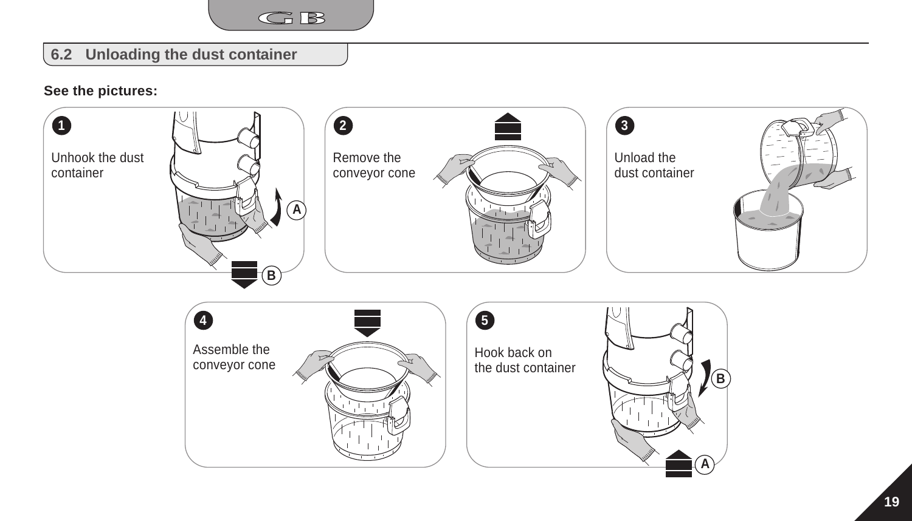

### **6.2 Unloading the dust container**

#### **See the pictures:**

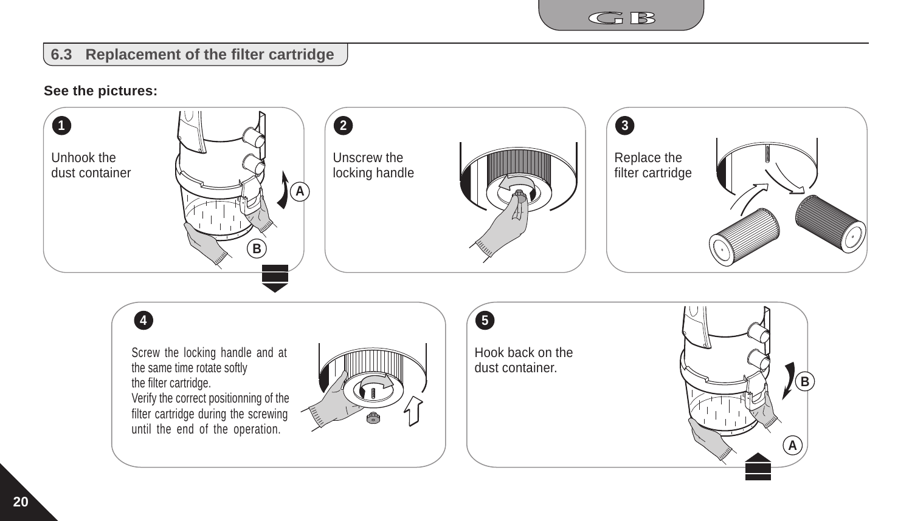

### **6.3 Replacement of the filter cartridge**

#### **See the pictures:**

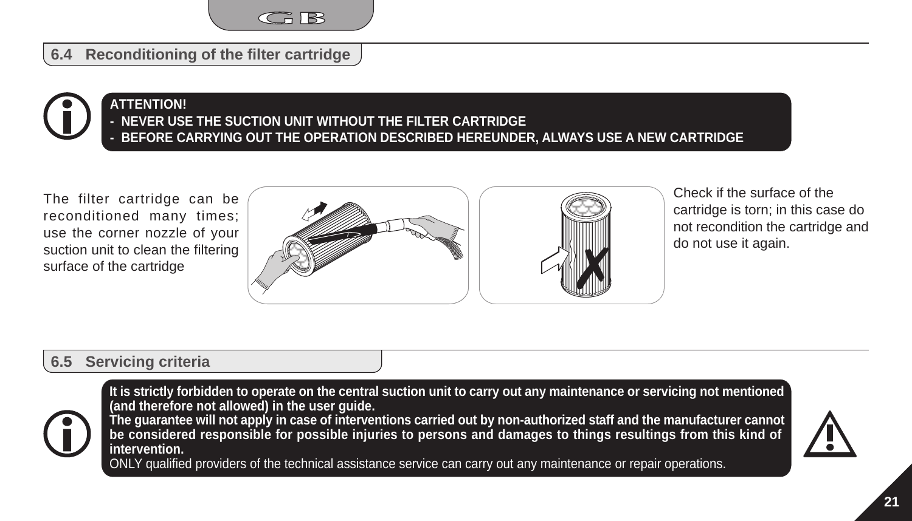

**6.4 Reconditioning of the filter cartridge**

#### **NEVER USE THE SUCTION UNIT WITHOUT THE FILTER CARTRIDGE - BEFORE CARRYING OUT THE OPERATION DESCRIBED HEREUNDER, ALWAYS USE A NEW CARTRIDGE ATTENTION! -**

The filter cartridge can be reconditioned many times; use the corner nozzle of your suction unit to clean the filtering surface of the cartridge



Check if the surface of the cartridge is torn; in this case do not recondition the cartridge and do not use it again.

#### **6.5 Servicing criteria**



**It is strictly forbidden to operate on the central suction unit to carry out any maintenance or servicing not mentioned (and therefore not allowed) in the user guide.**

**The guarantee will not apply in case of interventions carried out by non-authorized staff and the manufacturer cannot be considered responsible for possible injuries to persons and damages to things resultings from this kind of intervention.**

ONLY qualified providers of the technical assistance service can carry out any maintenance or repair operations.

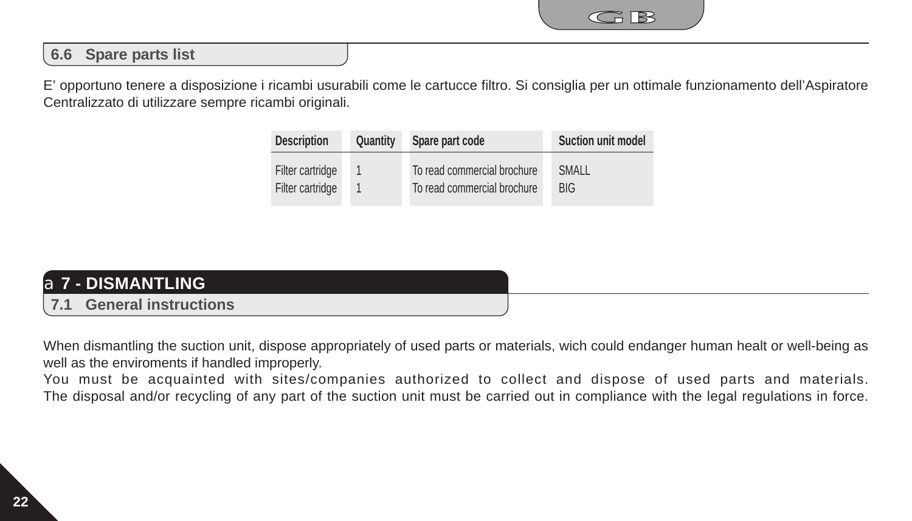

### **6.6 Spare parts list**

E' opportuno tenere a disposizione i ricambi usurabili come le cartucce filtro. Si consiglia per un ottimale funzionamento dell'Aspiratore Centralizzato di utilizzare sempre ricambi originali.

| <b>Description</b> | Quantity | Spare part code             | <b>Suction unit model</b> |
|--------------------|----------|-----------------------------|---------------------------|
| Filter cartridge   |          | To read commercial brochure | SMALL                     |
| Filter cartridge   |          | To read commercial brochure | <b>BIG</b>                |

| a <b>7 - DISMANTLING</b> ' |  |
|----------------------------|--|
| 7.1 General instructions   |  |

When dismantling the suction unit, dispose appropriately of used parts or materials, wich could endanger human healt or well-being as well as the enviroments if handled improperly.

You must be acquainted with sites/companies authorized to collect and dispose of used parts and materials. The disposal and/or recycling of any part of the suction unit must be carried out in compliance with the legal regulations in force.